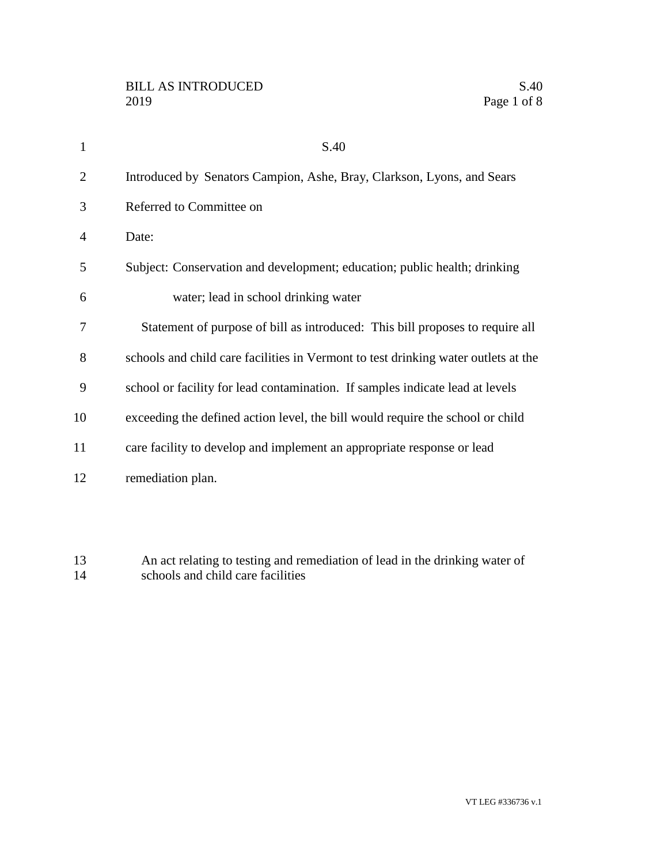| 1              | S.40                                                                               |
|----------------|------------------------------------------------------------------------------------|
| 2              | Introduced by Senators Campion, Ashe, Bray, Clarkson, Lyons, and Sears             |
| 3              | Referred to Committee on                                                           |
| $\overline{4}$ | Date:                                                                              |
| 5              | Subject: Conservation and development; education; public health; drinking          |
| 6              | water; lead in school drinking water                                               |
| 7              | Statement of purpose of bill as introduced: This bill proposes to require all      |
| 8              | schools and child care facilities in Vermont to test drinking water outlets at the |
| 9              | school or facility for lead contamination. If samples indicate lead at levels      |
| 10             | exceeding the defined action level, the bill would require the school or child     |
| 11             | care facility to develop and implement an appropriate response or lead             |
| 12             | remediation plan.                                                                  |
|                |                                                                                    |

 An act relating to testing and remediation of lead in the drinking water of 14 schools and child care facilities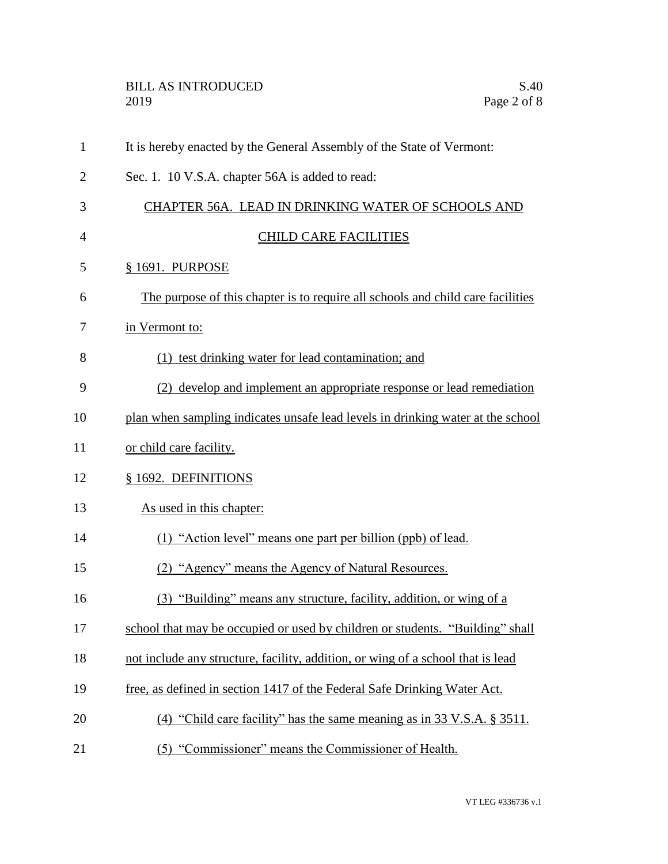| $\mathbf{1}$   | It is hereby enacted by the General Assembly of the State of Vermont:           |
|----------------|---------------------------------------------------------------------------------|
| $\overline{2}$ | Sec. 1. 10 V.S.A. chapter 56A is added to read:                                 |
| 3              | CHAPTER 56A. LEAD IN DRINKING WATER OF SCHOOLS AND                              |
| $\overline{4}$ | <b>CHILD CARE FACILITIES</b>                                                    |
| 5              | § 1691. PURPOSE                                                                 |
| 6              | The purpose of this chapter is to require all schools and child care facilities |
| 7              | in Vermont to:                                                                  |
| 8              | (1) test drinking water for lead contamination; and                             |
| 9              | (2) develop and implement an appropriate response or lead remediation           |
| 10             | plan when sampling indicates unsafe lead levels in drinking water at the school |
| 11             | or child care facility.                                                         |
| 12             | § 1692. DEFINITIONS                                                             |
| 13             | As used in this chapter:                                                        |
| 14             | (1) "Action level" means one part per billion (ppb) of lead.                    |
| 15             | (2) "Agency" means the Agency of Natural Resources.                             |
| 16             | (3) "Building" means any structure, facility, addition, or wing of a            |
| 17             | school that may be occupied or used by children or students. "Building" shall   |
| 18             | not include any structure, facility, addition, or wing of a school that is lead |
| 19             | free, as defined in section 1417 of the Federal Safe Drinking Water Act.        |
| 20             | (4) "Child care facility" has the same meaning as in 33 V.S.A. § 3511.          |
| 21             | (5) "Commissioner" means the Commissioner of Health.                            |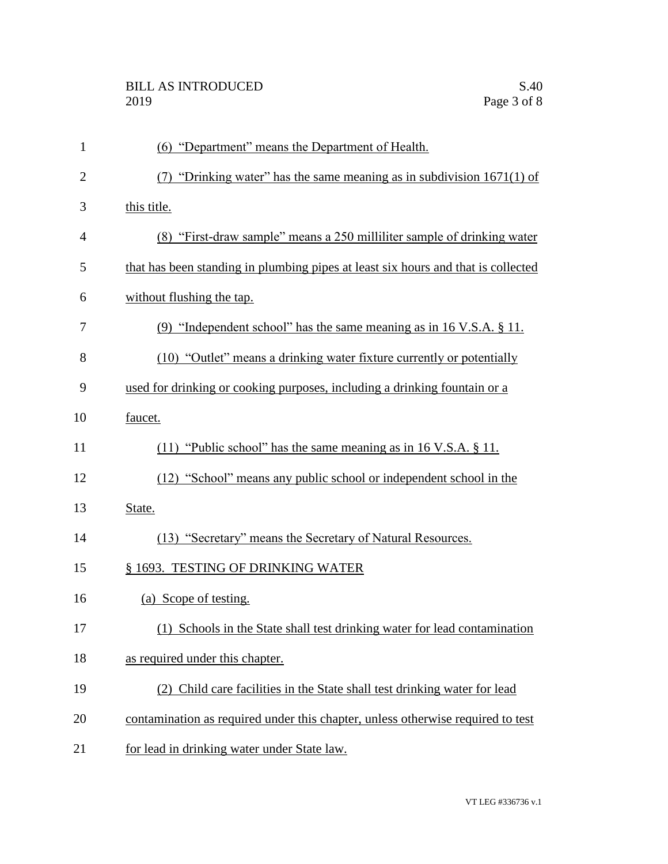| $\mathbf{1}$   | (6) "Department" means the Department of Health.                                  |
|----------------|-----------------------------------------------------------------------------------|
| $\overline{2}$ | (7) "Drinking water" has the same meaning as in subdivision $1671(1)$ of          |
| 3              | this title.                                                                       |
| 4              | (8) "First-draw sample" means a 250 milliliter sample of drinking water           |
| 5              | that has been standing in plumbing pipes at least six hours and that is collected |
| 6              | without flushing the tap.                                                         |
| 7              | (9) "Independent school" has the same meaning as in $16$ V.S.A. $\S$ 11.          |
| 8              | (10) "Outlet" means a drinking water fixture currently or potentially             |
| 9              | used for drinking or cooking purposes, including a drinking fountain or a         |
| 10             | faucet.                                                                           |
| 11             | $(11)$ "Public school" has the same meaning as in 16 V.S.A. § 11.                 |
| 12             | (12) "School" means any public school or independent school in the                |
| 13             | State.                                                                            |
| 14             | (13) "Secretary" means the Secretary of Natural Resources.                        |
| 15             | § 1693. TESTING OF DRINKING WATER                                                 |
| 16             | (a) Scope of testing.                                                             |
| 17             | Schools in the State shall test drinking water for lead contamination             |
| 18             | as required under this chapter.                                                   |
| 19             | (2) Child care facilities in the State shall test drinking water for lead         |
| 20             | contamination as required under this chapter, unless otherwise required to test   |
| 21             | for lead in drinking water under State law.                                       |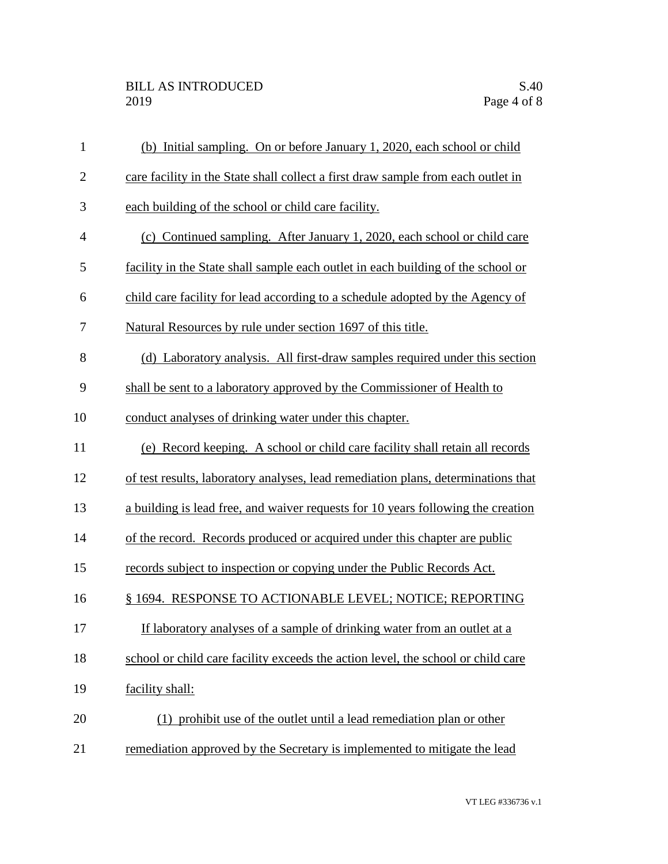| $\mathbf{1}$   | (b) Initial sampling. On or before January 1, 2020, each school or child          |
|----------------|-----------------------------------------------------------------------------------|
| $\mathbf{2}$   | care facility in the State shall collect a first draw sample from each outlet in  |
| 3              | each building of the school or child care facility.                               |
| $\overline{4}$ | (c) Continued sampling. After January 1, 2020, each school or child care          |
| 5              | facility in the State shall sample each outlet in each building of the school or  |
| 6              | child care facility for lead according to a schedule adopted by the Agency of     |
| 7              | Natural Resources by rule under section 1697 of this title.                       |
| 8              | (d) Laboratory analysis. All first-draw samples required under this section       |
| 9              | shall be sent to a laboratory approved by the Commissioner of Health to           |
| 10             | conduct analyses of drinking water under this chapter.                            |
| 11             | (e) Record keeping. A school or child care facility shall retain all records      |
| 12             | of test results, laboratory analyses, lead remediation plans, determinations that |
| 13             | a building is lead free, and waiver requests for 10 years following the creation  |
| 14             | of the record. Records produced or acquired under this chapter are public         |
| 15             | records subject to inspection or copying under the Public Records Act.            |
| 16             | § 1694. RESPONSE TO ACTIONABLE LEVEL; NOTICE; REPORTING                           |
| 17             | If laboratory analyses of a sample of drinking water from an outlet at a          |
| 18             | school or child care facility exceeds the action level, the school or child care  |
| 19             | facility shall:                                                                   |
| 20             | (1) prohibit use of the outlet until a lead remediation plan or other             |
| 21             | remediation approved by the Secretary is implemented to mitigate the lead         |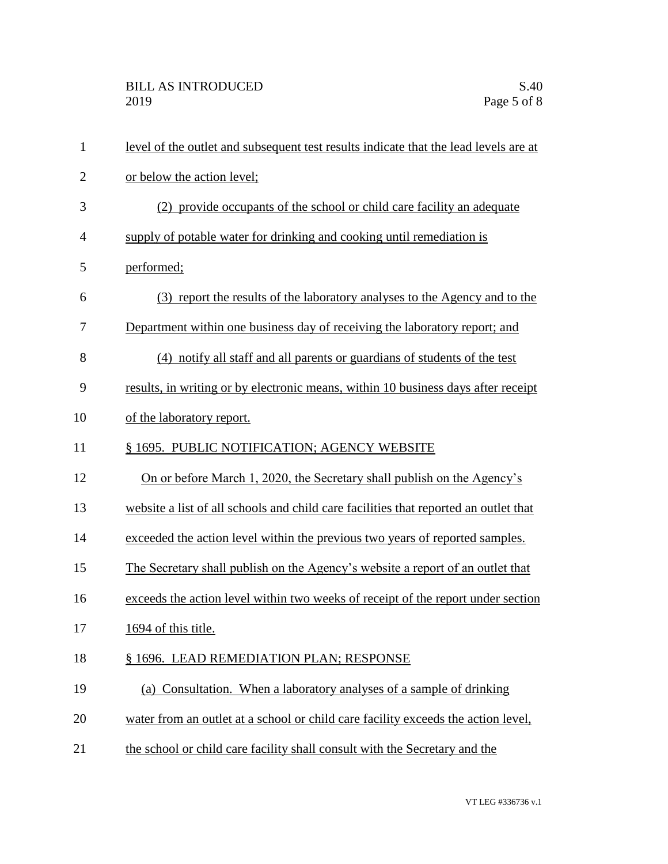| $\mathbf{1}$   | level of the outlet and subsequent test results indicate that the lead levels are at |
|----------------|--------------------------------------------------------------------------------------|
| $\overline{2}$ | or below the action level;                                                           |
| 3              | (2) provide occupants of the school or child care facility an adequate               |
| $\overline{4}$ | supply of potable water for drinking and cooking until remediation is                |
| 5              | performed;                                                                           |
| 6              | (3) report the results of the laboratory analyses to the Agency and to the           |
| 7              | Department within one business day of receiving the laboratory report; and           |
| 8              | (4) notify all staff and all parents or guardians of students of the test            |
| 9              | results, in writing or by electronic means, within 10 business days after receipt    |
| 10             | of the laboratory report.                                                            |
| 11             | § 1695. PUBLIC NOTIFICATION; AGENCY WEBSITE                                          |
| 12             | On or before March 1, 2020, the Secretary shall publish on the Agency's              |
| 13             | website a list of all schools and child care facilities that reported an outlet that |
| 14             | exceeded the action level within the previous two years of reported samples.         |
| 15             | The Secretary shall publish on the Agency's website a report of an outlet that       |
| 16             | exceeds the action level within two weeks of receipt of the report under section     |
| 17             | 1694 of this title.                                                                  |
| 18             | § 1696. LEAD REMEDIATION PLAN; RESPONSE                                              |
| 19             | (a) Consultation. When a laboratory analyses of a sample of drinking                 |
| 20             | water from an outlet at a school or child care facility exceeds the action level,    |
| 21             | the school or child care facility shall consult with the Secretary and the           |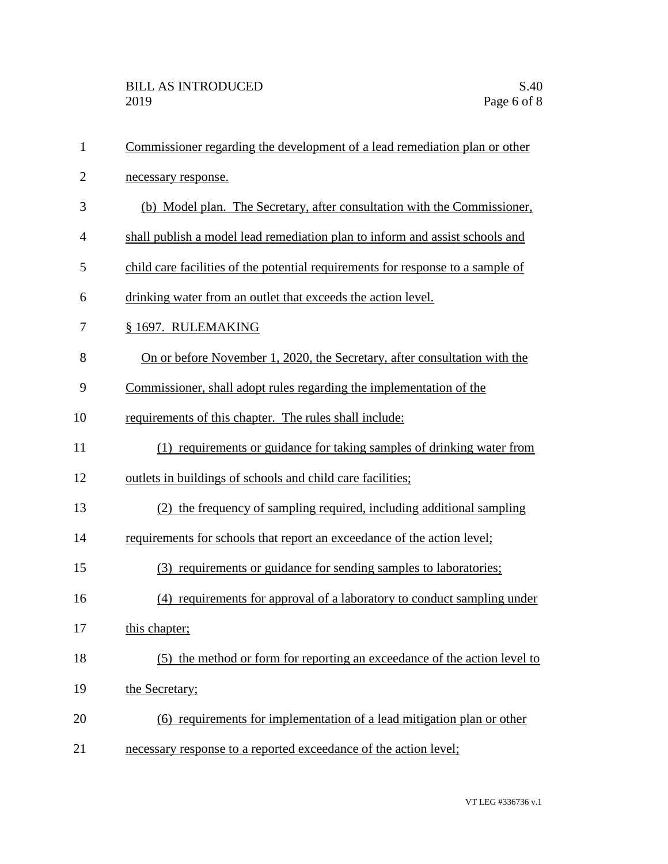| $\mathbf{1}$   | Commissioner regarding the development of a lead remediation plan or other      |
|----------------|---------------------------------------------------------------------------------|
| $\overline{2}$ | necessary response.                                                             |
| 3              | (b) Model plan. The Secretary, after consultation with the Commissioner,        |
| $\overline{4}$ | shall publish a model lead remediation plan to inform and assist schools and    |
| 5              | child care facilities of the potential requirements for response to a sample of |
| 6              | drinking water from an outlet that exceeds the action level.                    |
| 7              | § 1697. RULEMAKING                                                              |
| 8              | On or before November 1, 2020, the Secretary, after consultation with the       |
| 9              | Commissioner, shall adopt rules regarding the implementation of the             |
| 10             | requirements of this chapter. The rules shall include:                          |
| 11             | (1) requirements or guidance for taking samples of drinking water from          |
| 12             | outlets in buildings of schools and child care facilities;                      |
| 13             | (2) the frequency of sampling required, including additional sampling           |
| 14             | requirements for schools that report an exceedance of the action level;         |
| 15             | (3) requirements or guidance for sending samples to laboratories;               |
| 16             | (4) requirements for approval of a laboratory to conduct sampling under         |
| 17             | this chapter;                                                                   |
| 18             | (5) the method or form for reporting an exceedance of the action level to       |
| 19             | the Secretary;                                                                  |
| 20             | (6) requirements for implementation of a lead mitigation plan or other          |
| 21             | necessary response to a reported exceedance of the action level;                |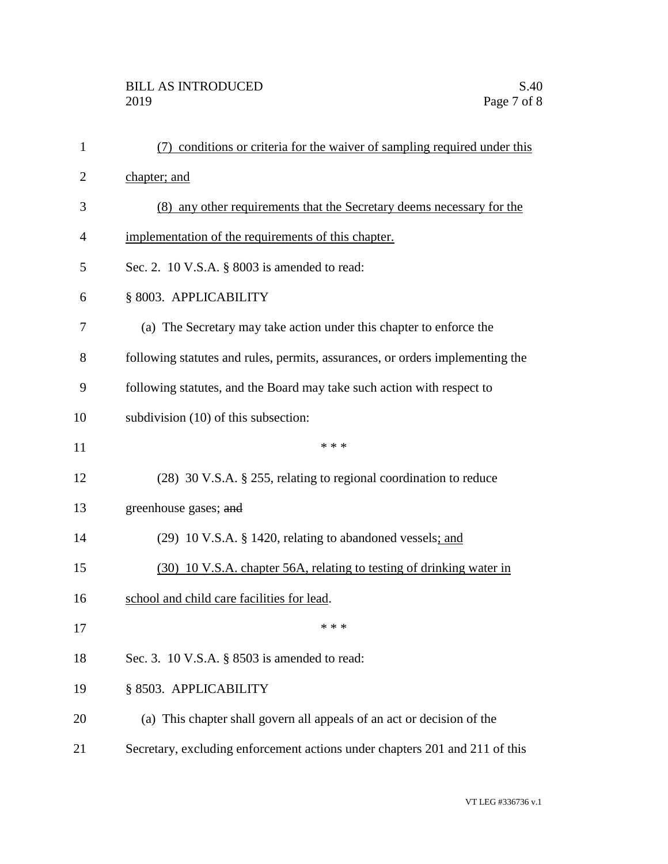| $\mathbf{1}$   | (7) conditions or criteria for the waiver of sampling required under this     |
|----------------|-------------------------------------------------------------------------------|
| $\overline{2}$ | chapter; and                                                                  |
| 3              | (8) any other requirements that the Secretary deems necessary for the         |
| 4              | implementation of the requirements of this chapter.                           |
| 5              | Sec. 2. 10 V.S.A. § 8003 is amended to read:                                  |
| 6              | § 8003. APPLICABILITY                                                         |
| 7              | (a) The Secretary may take action under this chapter to enforce the           |
| 8              | following statutes and rules, permits, assurances, or orders implementing the |
| 9              | following statutes, and the Board may take such action with respect to        |
| 10             | subdivision (10) of this subsection:                                          |
| 11             | * * *                                                                         |
| 12             | (28) 30 V.S.A. § 255, relating to regional coordination to reduce             |
| 13             | greenhouse gases; and                                                         |
| 14             | (29) 10 V.S.A. § 1420, relating to abandoned vessels; and                     |
| 15             | (30) 10 V.S.A. chapter 56A, relating to testing of drinking water in          |
| 16             | school and child care facilities for lead.                                    |
| 17             | * * *                                                                         |
| 18             | Sec. 3. 10 V.S.A. § 8503 is amended to read:                                  |
| 19             | § 8503. APPLICABILITY                                                         |
| 20             | (a) This chapter shall govern all appeals of an act or decision of the        |
| 21             | Secretary, excluding enforcement actions under chapters 201 and 211 of this   |